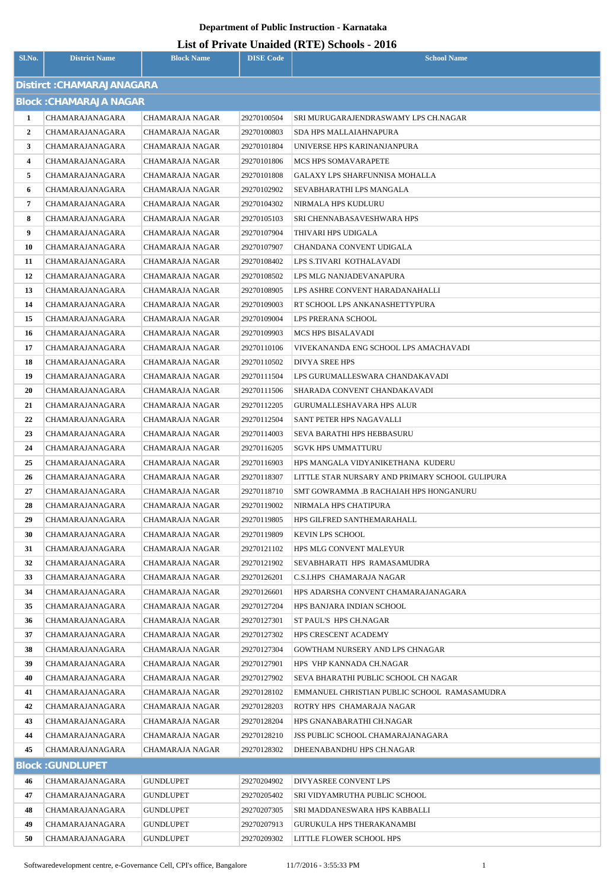# **Department of Public Instruction - Karnataka**

| <b>List of Private Unaided (RTE) Schools - 2016</b> |
|-----------------------------------------------------|
|-----------------------------------------------------|

| Sl.No.                    | <b>District Name</b>               | <b>Block Name</b>                  | <b>DISE Code</b>           | $\frac{1}{2}$<br><b>School Name</b>                     |  |  |  |  |
|---------------------------|------------------------------------|------------------------------------|----------------------------|---------------------------------------------------------|--|--|--|--|
| Distirct: CHAMARAJANAGARA |                                    |                                    |                            |                                                         |  |  |  |  |
|                           | <b>Block: CHAMARAJA NAGAR</b>      |                                    |                            |                                                         |  |  |  |  |
| 1                         | CHAMARAJANAGARA                    | CHAMARAJA NAGAR                    | 29270100504                | SRI MURUGARAJENDRASWAMY LPS CH.NAGAR                    |  |  |  |  |
| $\mathbf{2}$              | CHAMARAJANAGARA                    | CHAMARAJA NAGAR                    | 29270100803                | SDA HPS MALLAIAHNAPURA                                  |  |  |  |  |
| 3                         | CHAMARAJANAGARA                    | CHAMARAJA NAGAR                    | 29270101804                | UNIVERSE HPS KARINANJANPURA                             |  |  |  |  |
| 4                         | CHAMARAJANAGARA                    | CHAMARAJA NAGAR                    | 29270101806                | MCS HPS SOMAVARAPETE                                    |  |  |  |  |
| 5                         | CHAMARAJANAGARA                    | CHAMARAJA NAGAR                    | 29270101808                | GALAXY LPS SHARFUNNISA MOHALLA                          |  |  |  |  |
| 6                         | CHAMARAJANAGARA                    | CHAMARAJA NAGAR                    | 29270102902                | SEVABHARATHI LPS MANGALA                                |  |  |  |  |
| 7                         | CHAMARAJANAGARA                    | CHAMARAJA NAGAR                    | 29270104302                | NIRMALA HPS KUDLURU                                     |  |  |  |  |
| 8                         | CHAMARAJANAGARA                    | CHAMARAJA NAGAR                    | 29270105103                | SRI CHENNABASAVESHWARA HPS                              |  |  |  |  |
| 9                         | CHAMARAJANAGARA                    | CHAMARAJA NAGAR                    | 29270107904                | THIVARI HPS UDIGALA                                     |  |  |  |  |
| 10                        | CHAMARAJANAGARA                    | CHAMARAJA NAGAR                    | 29270107907                | CHANDANA CONVENT UDIGALA                                |  |  |  |  |
| 11                        | CHAMARAJANAGARA                    | CHAMARAJA NAGAR                    | 29270108402                | LPS S.TIVARI KOTHALAVADI                                |  |  |  |  |
| 12                        | CHAMARAJANAGARA                    | CHAMARAJA NAGAR                    | 29270108502                | LPS MLG NANJADEVANAPURA                                 |  |  |  |  |
| 13                        | CHAMARAJANAGARA                    | CHAMARAJA NAGAR                    | 29270108905                | LPS ASHRE CONVENT HARADANAHALLI                         |  |  |  |  |
| 14                        | CHAMARAJANAGARA                    | CHAMARAJA NAGAR                    | 29270109003                | RT SCHOOL LPS ANKANASHETTYPURA                          |  |  |  |  |
| 15                        | CHAMARAJANAGARA                    | CHAMARAJA NAGAR                    | 29270109004                | LPS PRERANA SCHOOL                                      |  |  |  |  |
| 16                        | CHAMARAJANAGARA                    | CHAMARAJA NAGAR                    | 29270109903                | MCS HPS BISALAVADI                                      |  |  |  |  |
| 17                        | CHAMARAJANAGARA                    | CHAMARAJA NAGAR                    | 29270110106                | VIVEKANANDA ENG SCHOOL LPS AMACHAVADI                   |  |  |  |  |
| 18                        | CHAMARAJANAGARA                    | CHAMARAJA NAGAR                    | 29270110502                | DIVYA SREE HPS                                          |  |  |  |  |
| 19                        | CHAMARAJANAGARA                    | CHAMARAJA NAGAR                    | 29270111504                | LPS GURUMALLESWARA CHANDAKAVADI                         |  |  |  |  |
| 20                        | CHAMARAJANAGARA                    | CHAMARAJA NAGAR                    | 29270111506                | SHARADA CONVENT CHANDAKAVADI                            |  |  |  |  |
| 21                        | CHAMARAJANAGARA                    | CHAMARAJA NAGAR                    | 29270112205                | GURUMALLESHAVARA HPS ALUR                               |  |  |  |  |
| 22                        | CHAMARAJANAGARA                    | CHAMARAJA NAGAR                    | 29270112504                | SANT PETER HPS NAGAVALLI                                |  |  |  |  |
| 23                        | CHAMARAJANAGARA                    | CHAMARAJA NAGAR                    | 29270114003                | SEVA BARATHI HPS HEBBASURU                              |  |  |  |  |
| 24<br>25                  | CHAMARAJANAGARA<br>CHAMARAJANAGARA | CHAMARAJA NAGAR<br>CHAMARAJA NAGAR | 29270116205<br>29270116903 | SGVK HPS UMMATTURU<br>HPS MANGALA VIDYANIKETHANA KUDERU |  |  |  |  |
| 26                        | CHAMARAJANAGARA                    | <b>CHAMARAJA NAGAR</b>             | 29270118307                | LITTLE STAR NURSARY AND PRIMARY SCHOOL GULIPURA         |  |  |  |  |
| 27                        | CHAMARAJANAGARA                    | CHAMARAJA NAGAR                    | 29270118710                | SMT GOWRAMMA .B RACHAIAH HPS HONGANURU                  |  |  |  |  |
| 28                        | CHAMARAJANAGARA                    | CHAMARAJA NAGAR                    | 29270119002                | NIRMALA HPS CHATIPURA                                   |  |  |  |  |
| 29                        | CHAMARAJANAGARA                    | CHAMARAJA NAGAR                    | 29270119805                | HPS GILFRED SANTHEMARAHALL                              |  |  |  |  |
| 30                        | CHAMARAJANAGARA                    | CHAMARAJA NAGAR                    | 29270119809                | KEVIN LPS SCHOOL                                        |  |  |  |  |
| 31                        | CHAMARAJANAGARA                    | CHAMARAJA NAGAR                    | 29270121102                | HPS MLG CONVENT MALEYUR                                 |  |  |  |  |
| 32                        | CHAMARAJANAGARA                    | CHAMARAJA NAGAR                    | 29270121902                | SEVABHARATI HPS RAMASAMUDRA                             |  |  |  |  |
| 33                        | CHAMARAJANAGARA                    | CHAMARAJA NAGAR                    | 29270126201                | C.S.I.HPS CHAMARAJA NAGAR                               |  |  |  |  |
| 34                        | CHAMARAJANAGARA                    | CHAMARAJA NAGAR                    | 29270126601                | HPS ADARSHA CONVENT CHAMARAJANAGARA                     |  |  |  |  |
| 35                        | CHAMARAJANAGARA                    | CHAMARAJA NAGAR                    | 29270127204                | HPS BANJARA INDIAN SCHOOL                               |  |  |  |  |
| 36                        | CHAMARAJANAGARA                    | CHAMARAJA NAGAR                    | 29270127301                | ST PAUL'S HPS CH.NAGAR                                  |  |  |  |  |
| 37                        | CHAMARAJANAGARA                    | CHAMARAJA NAGAR                    | 29270127302                | HPS CRESCENT ACADEMY                                    |  |  |  |  |
| 38                        | CHAMARAJANAGARA                    | CHAMARAJA NAGAR                    | 29270127304                | GOWTHAM NURSERY AND LPS CHNAGAR                         |  |  |  |  |
| 39                        | CHAMARAJANAGARA                    | CHAMARAJA NAGAR                    | 29270127901                | HPS VHP KANNADA CH.NAGAR                                |  |  |  |  |
| 40                        | CHAMARAJANAGARA                    | CHAMARAJA NAGAR                    | 29270127902                | SEVA BHARATHI PUBLIC SCHOOL CH NAGAR                    |  |  |  |  |
| 41                        | CHAMARAJANAGARA                    | CHAMARAJA NAGAR                    | 29270128102                | EMMANUEL CHRISTIAN PUBLIC SCHOOL RAMASAMUDRA            |  |  |  |  |
| 42                        | CHAMARAJANAGARA                    | CHAMARAJA NAGAR                    | 29270128203                | ROTRY HPS CHAMARAJA NAGAR                               |  |  |  |  |
| 43                        | CHAMARAJANAGARA                    | CHAMARAJA NAGAR                    | 29270128204                | HPS GNANABARATHI CH.NAGAR                               |  |  |  |  |
| 44                        | CHAMARAJANAGARA                    | CHAMARAJA NAGAR                    | 29270128210                | <b>JSS PUBLIC SCHOOL CHAMARAJANAGARA</b>                |  |  |  |  |
| 45                        | CHAMARAJANAGARA                    | CHAMARAJA NAGAR                    | 29270128302                | DHEENABANDHU HPS CH.NAGAR                               |  |  |  |  |
|                           | <b>Block: GUNDLUPET</b>            |                                    |                            |                                                         |  |  |  |  |
| 46                        | CHAMARAJANAGARA                    | <b>GUNDLUPET</b>                   | 29270204902                | DIVYASREE CONVENT LPS                                   |  |  |  |  |
| 47                        | CHAMARAJANAGARA                    | GUNDLUPET                          | 29270205402                | SRI VIDYAMRUTHA PUBLIC SCHOOL                           |  |  |  |  |
| 48                        | CHAMARAJANAGARA                    | <b>GUNDLUPET</b>                   | 29270207305                | SRI MADDANESWARA HPS KABBALLI                           |  |  |  |  |
| 49                        | CHAMARAJANAGARA                    | GUNDLUPET                          | 29270207913                | GURUKULA HPS THERAKANAMBI                               |  |  |  |  |
| 50                        | CHAMARAJANAGARA                    | GUNDLUPET                          | 29270209302                | LITTLE FLOWER SCHOOL HPS                                |  |  |  |  |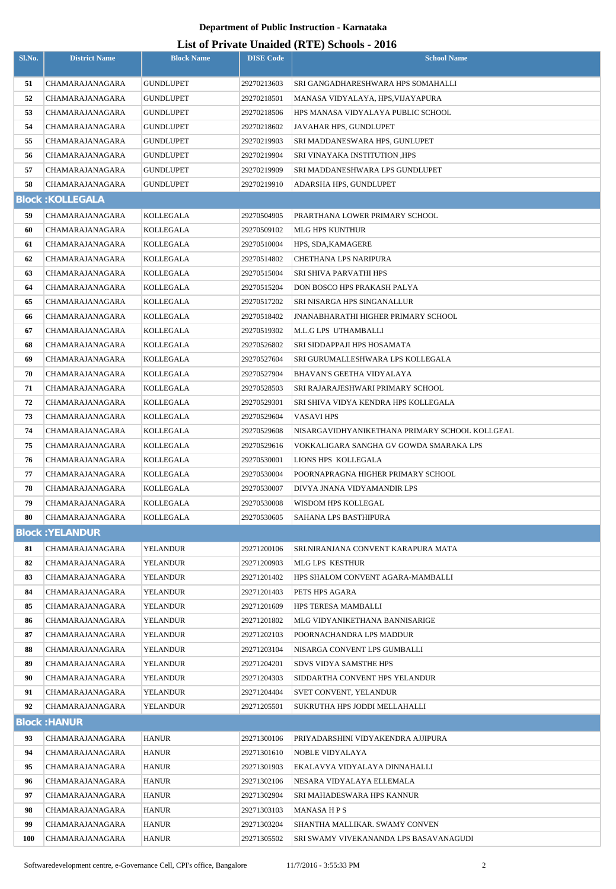# **Department of Public Instruction - Karnataka**

# **List of Private Unaided (RTE) Schools - 2016**

| Sl.No.     | <b>District Name</b>    | <b>Block Name</b> | <b>DISE Code</b> | $\text{List of I I1value}$ character $(\text{NIE})$ ochools - 2010<br><b>School Name</b> |
|------------|-------------------------|-------------------|------------------|------------------------------------------------------------------------------------------|
|            |                         |                   |                  |                                                                                          |
| 51         | CHAMARAJANAGARA         | GUNDLUPET         | 29270213603      | SRI GANGADHARESHWARA HPS SOMAHALLI                                                       |
| 52         | CHAMARAJANAGARA         | GUNDLUPET         | 29270218501      | MANASA VIDYALAYA, HPS, VIJAYAPURA                                                        |
| 53         | CHAMARAJANAGARA         | GUNDLUPET         | 29270218506      | HPS MANASA VIDYALAYA PUBLIC SCHOOL                                                       |
| 54         | CHAMARAJANAGARA         | GUNDLUPET         | 29270218602      | JAVAHAR HPS, GUNDLUPET                                                                   |
| 55         | CHAMARAJANAGARA         | GUNDLUPET         | 29270219903      | SRI MADDANESWARA HPS, GUNLUPET                                                           |
| 56         | CHAMARAJANAGARA         | GUNDLUPET         | 29270219904      | <b>SRI VINAYAKA INSTITUTION ,HPS</b>                                                     |
| 57         | CHAMARAJANAGARA         | GUNDLUPET         | 29270219909      | SRI MADDANESHWARA LPS GUNDLUPET                                                          |
| 58         | CHAMARAJANAGARA         | GUNDLUPET         | 29270219910      | ADARSHA HPS, GUNDLUPET                                                                   |
|            | <b>Block: KOLLEGALA</b> |                   |                  |                                                                                          |
| 59         | CHAMARAJANAGARA         | KOLLEGALA         | 29270504905      | PRARTHANA LOWER PRIMARY SCHOOL                                                           |
| 60         | CHAMARAJANAGARA         | KOLLEGALA         | 29270509102      | MLG HPS KUNTHUR                                                                          |
| 61         | CHAMARAJANAGARA         | KOLLEGALA         | 29270510004      | HPS, SDA, KAMAGERE                                                                       |
| 62         | CHAMARAJANAGARA         | KOLLEGALA         | 29270514802      | CHETHANA LPS NARIPURA                                                                    |
| 63         | CHAMARAJANAGARA         | KOLLEGALA         | 29270515004      | SRI SHIVA PARVATHI HPS                                                                   |
| 64         | CHAMARAJANAGARA         | KOLLEGALA         | 29270515204      | DON BOSCO HPS PRAKASH PALYA                                                              |
| 65         | CHAMARAJANAGARA         | KOLLEGALA         | 29270517202      | SRI NISARGA HPS SINGANALLUR                                                              |
| 66         | CHAMARAJANAGARA         | KOLLEGALA         | 29270518402      | <b>JNANABHARATHI HIGHER PRIMARY SCHOOL</b>                                               |
| 67         | CHAMARAJANAGARA         | KOLLEGALA         | 29270519302      | M.L.G LPS UTHAMBALLI                                                                     |
| 68         | CHAMARAJANAGARA         | KOLLEGALA         | 29270526802      | SRI SIDDAPPAJI HPS HOSAMATA                                                              |
| 69         | CHAMARAJANAGARA         | KOLLEGALA         | 29270527604      | SRI GURUMALLESHWARA LPS KOLLEGALA                                                        |
| 70         | CHAMARAJANAGARA         | KOLLEGALA         | 29270527904      | BHAVAN'S GEETHA VIDYALAYA                                                                |
| 71         | CHAMARAJANAGARA         | KOLLEGALA         | 29270528503      | SRI RAJARAJESHWARI PRIMARY SCHOOL                                                        |
| 72         | CHAMARAJANAGARA         | KOLLEGALA         | 29270529301      | SRI SHIVA VIDYA KENDRA HPS KOLLEGALA                                                     |
| 73         | CHAMARAJANAGARA         | KOLLEGALA         | 29270529604      | VASAVI HPS                                                                               |
| 74         | CHAMARAJANAGARA         | KOLLEGALA         | 29270529608      | NISARGAVIDHYANIKETHANA PRIMARY SCHOOL KOLLGEAL                                           |
| 75         | CHAMARAJANAGARA         | KOLLEGALA         | 29270529616      | VOKKALIGARA SANGHA GV GOWDA SMARAKA LPS                                                  |
| 76         | CHAMARAJANAGARA         | KOLLEGALA         | 29270530001      | LIONS HPS KOLLEGALA                                                                      |
| 77         | CHAMARAJANAGARA         | KOLLEGALA         | 29270530004      | POORNAPRAGNA HIGHER PRIMARY SCHOOL                                                       |
| 78         | CHAMARAJANAGARA         | KOLLEGALA         | 29270530007      | DIVYA JNANA VIDYAMANDIR LPS                                                              |
| 79         | CHAMARAJANAGARA         | KOLLEGALA         | 29270530008      | WISDOM HPS KOLLEGAL                                                                      |
| 80         | CHAMARAJANAGARA         | KOLLEGALA         | 29270530605      | SAHANA LPS BASTHIPURA                                                                    |
|            | <b>Block: YELANDUR</b>  |                   |                  |                                                                                          |
| 81         | CHAMARAJANAGARA         | YELANDUR          | 29271200106      | SRI.NIRANJANA CONVENT KARAPURA MATA                                                      |
| 82         | CHAMARAJANAGARA         | YELANDUR          | 29271200903      | MLG LPS KESTHUR                                                                          |
| 83         | CHAMARAJANAGARA         | YELANDUR          | 29271201402      | HPS SHALOM CONVENT AGARA-MAMBALLI                                                        |
| 84         | CHAMARAJANAGARA         | YELANDUR          | 29271201403      | PETS HPS AGARA                                                                           |
| 85         | CHAMARAJANAGARA         | YELANDUR          | 29271201609      | HPS TERESA MAMBALLI                                                                      |
| 86         | CHAMARAJANAGARA         | YELANDUR          | 29271201802      | MLG VIDYANIKETHANA BANNISARIGE                                                           |
| 87         | CHAMARAJANAGARA         | YELANDUR          | 29271202103      | POORNACHANDRA LPS MADDUR                                                                 |
| 88         | CHAMARAJANAGARA         | YELANDUR          | 29271203104      | NISARGA CONVENT LPS GUMBALLI                                                             |
| 89         | CHAMARAJANAGARA         | YELANDUR          | 29271204201      | SDVS VIDYA SAMSTHE HPS                                                                   |
| 90         | CHAMARAJANAGARA         | YELANDUR          | 29271204303      | SIDDARTHA CONVENT HPS YELANDUR                                                           |
| 91         | CHAMARAJANAGARA         | YELANDUR          | 29271204404      | <b>SVET CONVENT, YELANDUR</b>                                                            |
| 92         | CHAMARAJANAGARA         | YELANDUR          | 29271205501      | SUKRUTHA HPS JODDI MELLAHALLI                                                            |
|            | <b>Block: HANUR</b>     |                   |                  |                                                                                          |
| 93         | CHAMARAJANAGARA         | HANUR             | 29271300106      | PRIYADARSHINI VIDYAKENDRA AJJIPURA                                                       |
| 94         | CHAMARAJANAGARA         | HANUR             | 29271301610      | NOBLE VIDYALAYA                                                                          |
| 95         | CHAMARAJANAGARA         | HANUR             | 29271301903      | EKALAVYA VIDYALAYA DINNAHALLI                                                            |
| 96         | CHAMARAJANAGARA         | HANUR             | 29271302106      | NESARA VIDYALAYA ELLEMALA                                                                |
| 97         | CHAMARAJANAGARA         | HANUR             | 29271302904      | SRI MAHADESWARA HPS KANNUR                                                               |
| 98         | CHAMARAJANAGARA         | HANUR             | 29271303103      | <b>MANASAHPS</b>                                                                         |
| 99         | CHAMARAJANAGARA         | HANUR             | 29271303204      | SHANTHA MALLIKAR. SWAMY CONVEN                                                           |
| <b>100</b> | CHAMARAJANAGARA         | HANUR             | 29271305502      | SRI SWAMY VIVEKANANDA LPS BASAVANAGUDI                                                   |